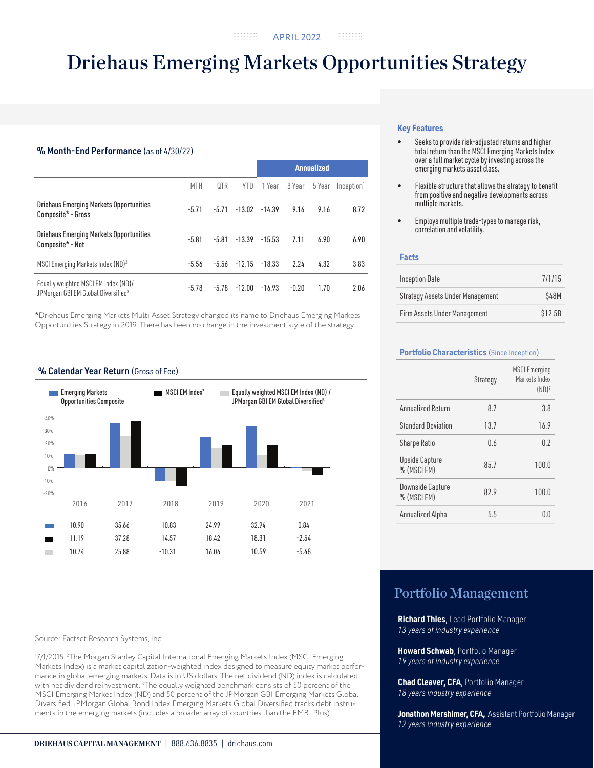## Driehaus Emerging Markets Opportunities Strategy

. . . . . . . . . . . . . . . .

## % Month-End Performance (as of 4/30/22)

|                                                                                         |         |         |                           | <b>Annualized</b> |         |        |                        |
|-----------------------------------------------------------------------------------------|---------|---------|---------------------------|-------------------|---------|--------|------------------------|
|                                                                                         | MTH     | 0TR     | YTD.                      | 1 Year            | 3 Year  | 5 Year | Inception <sup>1</sup> |
| <b>Driehaus Emerging Markets Opportunities</b><br>Composite* - Gross                    | $-5.71$ | $-5.71$ | $-13.02 -14.39$           |                   | 9.16    | 9.16   | 8.72                   |
| <b>Driehaus Emerging Markets Opportunities</b><br>Composite* - Net                      | $-5.81$ | $-5.81$ | $-13.39$                  | $-15.53$          | 7.11    | 6.90   | 6.90                   |
| MSCI Emerging Markets Index (ND) <sup>2</sup>                                           | $-5.56$ |         | $-5.56$ $-12.15$ $-18.33$ |                   | 2.24    | 4.32   | 3.83                   |
| Equally weighted MSCI EM Index (ND)/<br>JPMorgan GBI EM Global Diversified <sup>3</sup> | $-5.78$ | $-5.78$ | $-12.00$                  | $-16.93$          | $-0.20$ | 1.70   | 2.06                   |

\*Driehaus Emerging Markets Multi Asset Strategy changed its name to Driehaus Emerging Markets Opportunities Strategy in 2019. There has been no change in the investment style of the strategy.

## % Calendar Year Return (Gross of Fee)



Source: Factset Research Systems, Inc.

1 7/1/2015. 2 The Morgan Stanley Capital International Emerging Markets Index (MSCI Emerging Markets Index) is a market capitalization-weighted index designed to measure equity market performance in global emerging markets. Data is in US dollars. The net dividend (ND) index is calculated with net dividend reinvestment. 3 The equally weighted benchmark consists of 50 percent of the MSCI Emerging Market Index (ND) and 50 percent of the JPMorgan GBI Emerging Markets Global Diversified. JPMorgan Global Bond Index Emerging Markets Global Diversified tracks debt instruments in the emerging markets (includes a broader array of countries than the EMBI Plus).

### **Key Features**

- Seeks to provide risk-adjusted returns and higher total return than the MSCI Emerging Markets Index over a full market cycle by investing across the emerging markets asset class.
- Flexible structure that allows the strategy to benefit from positive and negative developments across multiple markets.
- Employs multiple trade-types to manage risk, correlation and volatility.

#### **Facts**

| <b>Inception Date</b>                   | 7/1/15  |
|-----------------------------------------|---------|
| <b>Strategy Assets Under Management</b> | \$48M   |
| Firm Assets Under Management            | \$12.5B |

### **Portfolio Characteristics** (Since Inception)

|                                     | Strategy | <b>MSCI</b> Emerging<br>Markets Index<br>$(ND)^2$ |
|-------------------------------------|----------|---------------------------------------------------|
| Annualized Return                   | 8.7      | 3.8                                               |
| <b>Standard Deviation</b>           | 13.7     | 16.9                                              |
| <b>Sharpe Ratio</b>                 | 0.6      | 0.2                                               |
| <b>Upside Capture</b><br>% (MSCIEM) | 85.7     | 100.0                                             |
| Downside Capture<br>% (MSCIEM)      | 82.9     | 100.0                                             |
| Annualized Alpha                    | 5.5      | 0 O                                               |

## Portfolio Management

**Richard Thies**, Lead Portfolio Manager *13 years of industry experience*

**Howard Schwab**, Portfolio Manager *19 years of industry experience*

**Chad Cleaver, CFA**, Portfolio Manager *18 years industry experience*

**Jonathon Mershimer, CFA,** Assistant Portfolio Manager *12 years industry experience*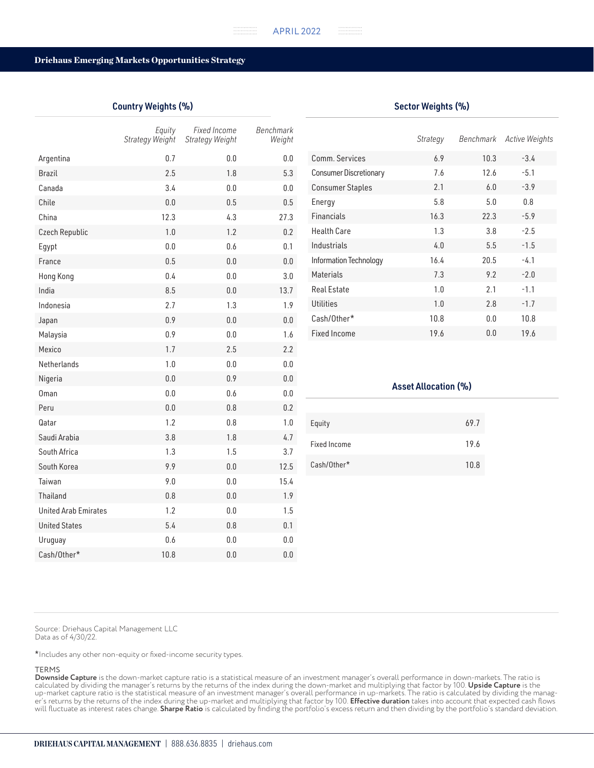#### Driehaus Emerging Markets Opportunities Strategy

## Country Weights (%)

|                             | Equity<br>Strategy Weight | Fixed Income<br>Strategy Weight | Benchmark<br>Weight |
|-----------------------------|---------------------------|---------------------------------|---------------------|
| Argentina                   | 0.7                       | 0.0                             | 0.0                 |
| <b>Brazil</b>               | 2.5                       | 1.8                             | 5.3                 |
| Canada                      | 3.4                       | 0.0                             | 0.0                 |
| Chile                       | 0.0                       | 0.5                             | 0.5                 |
| China                       | 12.3                      | 4.3                             | 27.3                |
| Czech Republic              | 1.0                       | 1.2                             | 0.2                 |
| Egypt                       | 0.0                       | 0.6                             | 0.1                 |
| France                      | 0.5                       | 0.0                             | 0.0                 |
| Hong Kong                   | 0.4                       | 0.0                             | 3.0                 |
| India                       | 8.5                       | 0.0                             | 13.7                |
| Indonesia                   | 2.7                       | 1.3                             | 1.9                 |
| Japan                       | 0.9                       | 0.0                             | 0.0                 |
| Malaysia                    | 0.9                       | 0.0                             | 1.6                 |
| Mexico                      | 1.7                       | 2.5                             | 2.2                 |
| Netherlands                 | 1.0                       | 0.0                             | 0.0                 |
| Nigeria                     | 0.0                       | 0.9                             | 0.0                 |
| Oman                        | 0.0                       | 0.6                             | 0.0                 |
| Peru                        | 0.0                       | 0.8                             | 0.2                 |
| Qatar                       | 1.2                       | 0.8                             | 1.0                 |
| Saudi Arabia                | 3.8                       | 1.8                             | 4.7                 |
| South Africa                | 1.3                       | 1.5                             | 3.7                 |
| South Korea                 | 9.9                       | 0.0                             | 12.5                |
| Taiwan                      | 9.0                       | 0.0                             | 15.4                |
| <b>Thailand</b>             | 0.8                       | 0.0                             | 1.9                 |
| <b>United Arab Emirates</b> | 1.2                       | 0.0                             | 1.5                 |
| <b>United States</b>        | 5.4                       | 0.8                             | 0.1                 |
| Uruguay                     | 0.6                       | 0.0                             | 0.0                 |
| Cash/Other*                 | 10.8                      | 0.0                             | 0.0                 |

|                               | Strategy |      | Benchmark Active Weights |
|-------------------------------|----------|------|--------------------------|
| Comm. Services                | 6.9      | 10.3 | $-3.4$                   |
| <b>Consumer Discretionary</b> | 7.6      | 12.6 | $-5.1$                   |
| <b>Consumer Staples</b>       | 2.1      | 6.0  | $-3.9$                   |
| Energy                        | 5.8      | 5.0  | 0.8                      |
| <b>Financials</b>             | 16.3     | 22.3 | $-5.9$                   |
| <b>Health Care</b>            | 1.3      | 3.8  | $-2.5$                   |
| Industrials                   | 4.0      | 5.5  | $-1.5$                   |
| Information Technology        | 16.4     | 20.5 | $-4.1$                   |
| <b>Materials</b>              | 7.3      | 9.2  | $-2.0$                   |
| Real Estate                   | 1.0      | 2.1  | $-1.1$                   |
| Utilities                     | 1.0      | 2.8  | $-1.7$                   |
| Cash/Other*                   | 10.8     | 0.0  | 10.8                     |
| <b>Fixed Income</b>           | 19.6     | 0.0  | 19.6                     |

# Equity 69.7 Fixed Income 29.6 Cash/Other\* 10.8 Asset Allocation (%)

Source: Driehaus Capital Management LLC Data as of 4/30/22.

\*Includes any other non-equity or fixed-income security types.

## TERMS

**Downside Capture** is the down-market capture ratio is a statistical measure of an investment manager's overall performance in down-markets. The ratio is calculated by dividing the manager's returns by the returns of the index during the down-market and multiplying that factor by 100. **Upside Capture** is the up-market capture ratio is the statistical measure of an investment manager's overall performance in up-markets. The ratio is calculated by dividing the manager's returns by the returns of the index during the up-market and multiplying that factor by 100. **Effective duration** takes into account that expected cash flows will fluctuate as interest rates change. **Sharpe Ratio** is calculated by finding the portfolio's excess return and then dividing by the portfolio's standard deviation.

## Sector Weights (%)